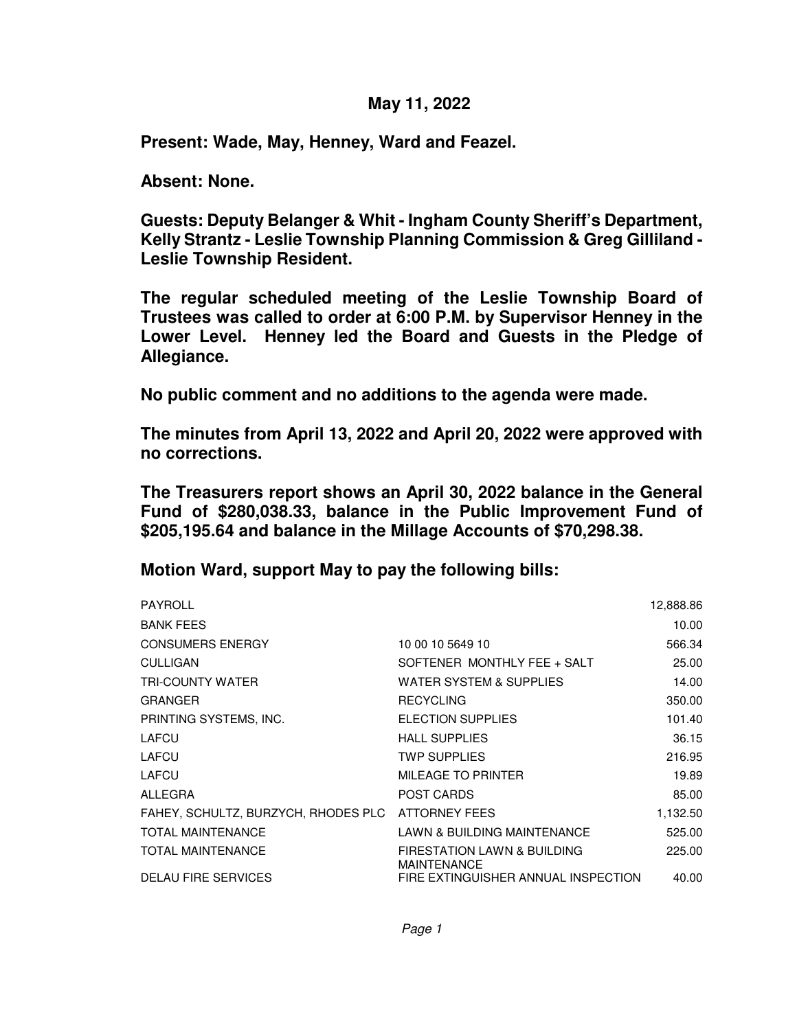## **May 11, 2022**

**Present: Wade, May, Henney, Ward and Feazel.**

**Absent: None.**

**Guests: Deputy Belanger & Whit - Ingham County Sheriff's Department, Kelly Strantz - Leslie Township Planning Commission & Greg Gilliland - Leslie Township Resident.**

**The regular scheduled meeting of the Leslie Township Board of Trustees was called to order at 6:00 P.M. by Supervisor Henney in the Lower Level. Henney led the Board and Guests in the Pledge of Allegiance.**

**No public comment and no additions to the agenda were made.**

**The minutes from April 13, 2022 and April 20, 2022 were approved with no corrections.** 

**The Treasurers report shows an April 30, 2022 balance in the General Fund of \$280,038.33, balance in the Public Improvement Fund of \$205,195.64 and balance in the Millage Accounts of \$70,298.38.** 

**Motion Ward, support May to pay the following bills:**

| PAYROLL                             |                                                              | 12,888.86 |
|-------------------------------------|--------------------------------------------------------------|-----------|
| <b>BANK FEES</b>                    |                                                              | 10.00     |
| <b>CONSUMERS ENERGY</b>             | 10 00 10 5649 10                                             | 566.34    |
| <b>CULLIGAN</b>                     | SOFTENER MONTHLY FEE + SALT                                  | 25.00     |
| <b>TRI-COUNTY WATER</b>             | <b>WATER SYSTEM &amp; SUPPLIES</b>                           | 14.00     |
| <b>GRANGER</b>                      | <b>RECYCLING</b>                                             | 350.00    |
| PRINTING SYSTEMS, INC.              | ELECTION SUPPLIES                                            | 101.40    |
| LAFCU                               | <b>HALL SUPPLIES</b>                                         | 36.15     |
| LAFCU                               | <b>TWP SUPPLIES</b>                                          | 216.95    |
| LAFCU                               | MILEAGE TO PRINTER                                           | 19.89     |
| ALLEGRA                             | <b>POST CARDS</b>                                            | 85.00     |
| FAHEY, SCHULTZ, BURZYCH, RHODES PLC | ATTORNEY FEES                                                | 1,132.50  |
| <b>TOTAL MAINTENANCE</b>            | LAWN & BUILDING MAINTENANCE                                  | 525.00    |
| <b>TOTAL MAINTENANCE</b>            | <b>FIRESTATION LAWN &amp; BUILDING</b><br><b>MAINTENANCE</b> | 225.00    |
| <b>DELAU FIRE SERVICES</b>          | FIRE EXTINGUISHER ANNUAL INSPECTION                          | 40.00     |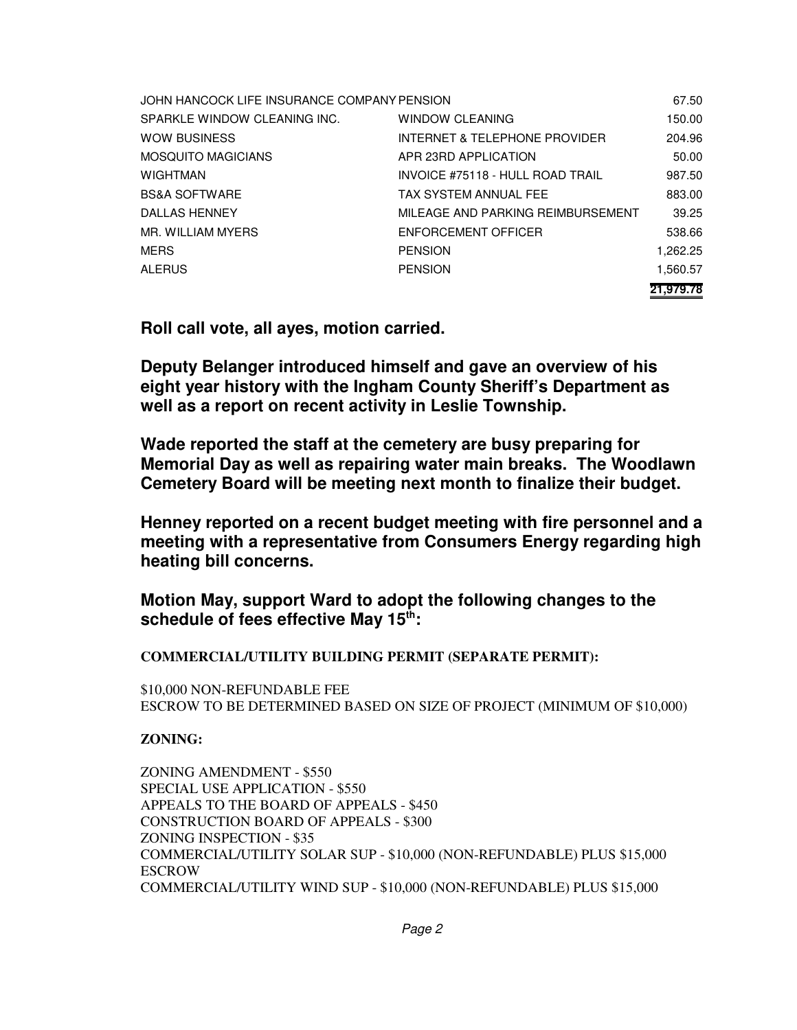| JOHN HANCOCK LIFE INSURANCE COMPANY PENSION |                                   | 67.50     |
|---------------------------------------------|-----------------------------------|-----------|
| SPARKLE WINDOW CLEANING INC.                | WINDOW CLEANING                   | 150.00    |
| <b>WOW BUSINESS</b>                         | INTERNET & TELEPHONE PROVIDER     | 204.96    |
| <b>MOSQUITO MAGICIANS</b>                   | APR 23RD APPLICATION              | 50.00     |
| <b>WIGHTMAN</b>                             | INVOICE #75118 - HULL ROAD TRAIL  | 987.50    |
| <b>BS&amp;A SOFTWARE</b>                    | TAX SYSTEM ANNUAL FEE             | 883.00    |
| DALLAS HENNEY                               | MILEAGE AND PARKING REIMBURSEMENT | 39.25     |
| MR. WILLIAM MYERS                           | ENFORCEMENT OFFICER               | 538.66    |
| <b>MERS</b>                                 | <b>PENSION</b>                    | 1.262.25  |
| ALERUS                                      | <b>PENSION</b>                    | 1,560.57  |
|                                             |                                   | 21.979.78 |

**Roll call vote, all ayes, motion carried.**

**Deputy Belanger introduced himself and gave an overview of his eight year history with the Ingham County Sheriff's Department as well as a report on recent activity in Leslie Township.**

**Wade reported the staff at the cemetery are busy preparing for Memorial Day as well as repairing water main breaks. The Woodlawn Cemetery Board will be meeting next month to finalize their budget.**

**Henney reported on a recent budget meeting with fire personnel and a meeting with a representative from Consumers Energy regarding high heating bill concerns.**

**Motion May, support Ward to adopt the following changes to the schedule of fees effective May 15th:**

**COMMERCIAL/UTILITY BUILDING PERMIT (SEPARATE PERMIT):**

\$10,000 NON-REFUNDABLE FEE ESCROW TO BE DETERMINED BASED ON SIZE OF PROJECT (MINIMUM OF \$10,000)

**ZONING:**

ZONING AMENDMENT - \$550 SPECIAL USE APPLICATION - \$550 APPEALS TO THE BOARD OF APPEALS - \$450 CONSTRUCTION BOARD OF APPEALS - \$300 ZONING INSPECTION - \$35 COMMERCIAL/UTILITY SOLAR SUP - \$10,000 (NON-REFUNDABLE) PLUS \$15,000 ESCROW COMMERCIAL/UTILITY WIND SUP - \$10,000 (NON-REFUNDABLE) PLUS \$15,000